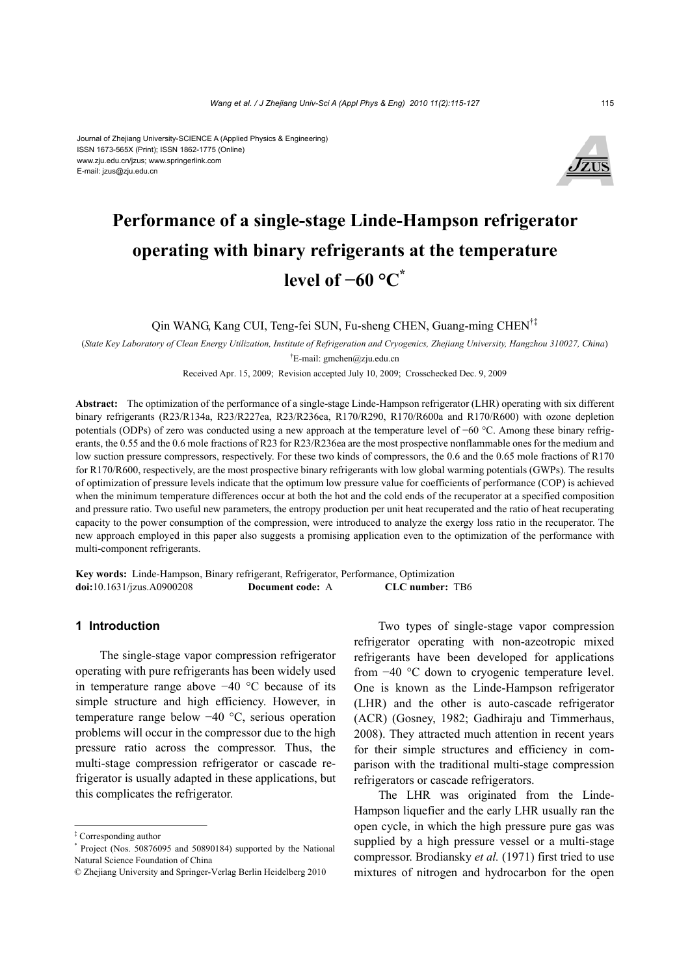Journal of Zhejiang University-SCIENCE A (Applied Physics & Engineering) ISSN 1673-565X (Print); ISSN 1862-1775 (Online) www.zju.edu.cn/jzus; www.springerlink.com E-mail: jzus@zju.edu.cn



# **Performance of a single-stage Linde-Hampson refrigerator operating with binary refrigerants at the temperature level of −60 °C\***

Qin WANG, Kang CUI, Teng-fei SUN, Fu-sheng CHEN, Guang-ming CHEN†‡

(*State Key Laboratory of Clean Energy Utilization, Institute of Refrigeration and Cryogenics, Zhejiang University, Hangzhou 310027, China*) † E-mail: gmchen@zju.edu.cn

Received Apr. 15, 2009; Revision accepted July 10, 2009; Crosschecked Dec. 9, 2009

**Abstract:** The optimization of the performance of a single-stage Linde-Hampson refrigerator (LHR) operating with six different binary refrigerants (R23/R134a, R23/R227ea, R23/R236ea, R170/R290, R170/R600a and R170/R600) with ozone depletion potentials (ODPs) of zero was conducted using a new approach at the temperature level of **−**60 °C. Among these binary refrigerants, the 0.55 and the 0.6 mole fractions of R23 for R23/R236ea are the most prospective nonflammable ones for the medium and low suction pressure compressors, respectively. For these two kinds of compressors, the 0.6 and the 0.65 mole fractions of R170 for R170/R600, respectively, are the most prospective binary refrigerants with low global warming potentials (GWPs). The results of optimization of pressure levels indicate that the optimum low pressure value for coefficients of performance (COP) is achieved when the minimum temperature differences occur at both the hot and the cold ends of the recuperator at a specified composition and pressure ratio. Two useful new parameters, the entropy production per unit heat recuperated and the ratio of heat recuperating capacity to the power consumption of the compression, were introduced to analyze the exergy loss ratio in the recuperator. The new approach employed in this paper also suggests a promising application even to the optimization of the performance with multi-component refrigerants.

**Key words:** Linde-Hampson, Binary refrigerant, Refrigerator, Performance, Optimization **doi:**10.1631/jzus.A0900208 **Document code:** A **CLC number:** TB6

# **1 Introduction**

The single-stage vapor compression refrigerator operating with pure refrigerants has been widely used in temperature range above −40 °C because of its simple structure and high efficiency. However, in temperature range below −40 °C, serious operation problems will occur in the compressor due to the high pressure ratio across the compressor. Thus, the multi-stage compression refrigerator or cascade refrigerator is usually adapted in these applications, but this complicates the refrigerator.

Two types of single-stage vapor compression refrigerator operating with non-azeotropic mixed refrigerants have been developed for applications from −40 °C down to cryogenic temperature level. One is known as the Linde-Hampson refrigerator (LHR) and the other is auto-cascade refrigerator (ACR) (Gosney, 1982; Gadhiraju and Timmerhaus, 2008). They attracted much attention in recent years for their simple structures and efficiency in comparison with the traditional multi-stage compression refrigerators or cascade refrigerators.

The LHR was originated from the Linde-Hampson liquefier and the early LHR usually ran the open cycle, in which the high pressure pure gas was supplied by a high pressure vessel or a multi-stage compressor. Brodiansky *et al.* (1971) first tried to use mixtures of nitrogen and hydrocarbon for the open

<sup>‡</sup> Corresponding author

<sup>\*</sup> Project (Nos. 50876095 and 50890184) supported by the National Natural Science Foundation of China

<sup>©</sup> Zhejiang University and Springer-Verlag Berlin Heidelberg 2010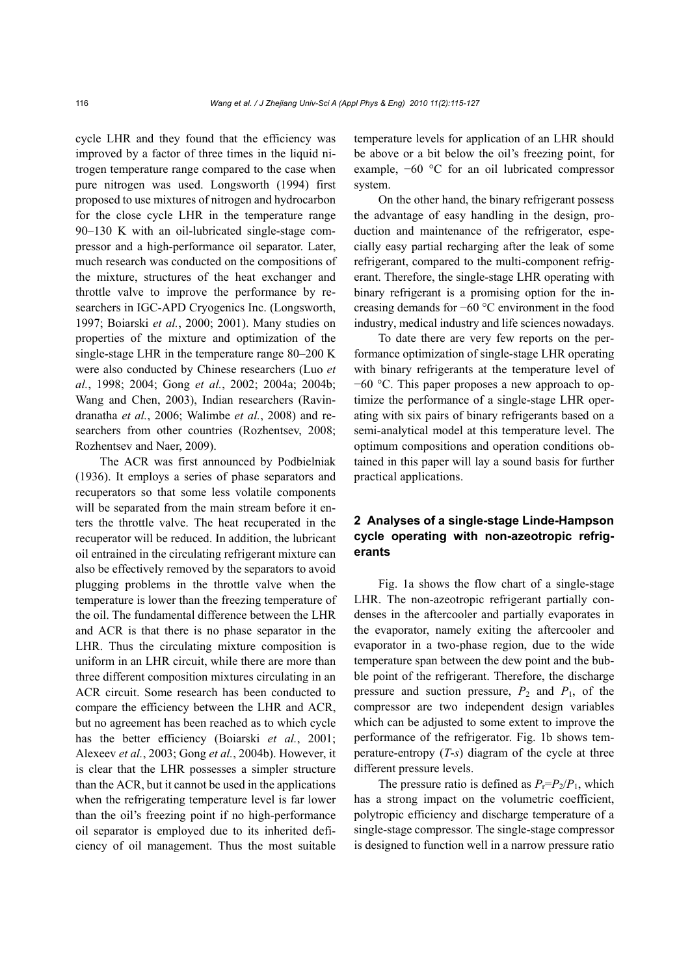cycle LHR and they found that the efficiency was improved by a factor of three times in the liquid nitrogen temperature range compared to the case when pure nitrogen was used. Longsworth (1994) first proposed to use mixtures of nitrogen and hydrocarbon for the close cycle LHR in the temperature range 90–130 K with an oil-lubricated single-stage compressor and a high-performance oil separator. Later, much research was conducted on the compositions of the mixture, structures of the heat exchanger and throttle valve to improve the performance by researchers in IGC-APD Cryogenics Inc. (Longsworth, 1997; Boiarski *et al.*, 2000; 2001). Many studies on properties of the mixture and optimization of the single-stage LHR in the temperature range 80–200 K were also conducted by Chinese researchers (Luo *et al.*, 1998; 2004; Gong *et al.*, 2002; 2004a; 2004b; Wang and Chen, 2003), Indian researchers (Ravindranatha *et al.*, 2006; Walimbe *et al.*, 2008) and researchers from other countries (Rozhentsev, 2008; Rozhentsev and Naer, 2009).

The ACR was first announced by Podbielniak (1936). It employs a series of phase separators and recuperators so that some less volatile components will be separated from the main stream before it enters the throttle valve. The heat recuperated in the recuperator will be reduced. In addition, the lubricant oil entrained in the circulating refrigerant mixture can also be effectively removed by the separators to avoid plugging problems in the throttle valve when the temperature is lower than the freezing temperature of the oil. The fundamental difference between the LHR and ACR is that there is no phase separator in the LHR. Thus the circulating mixture composition is uniform in an LHR circuit, while there are more than three different composition mixtures circulating in an ACR circuit. Some research has been conducted to compare the efficiency between the LHR and ACR, but no agreement has been reached as to which cycle has the better efficiency (Boiarski *et al.*, 2001; Alexeev *et al.*, 2003; Gong *et al.*, 2004b). However, it is clear that the LHR possesses a simpler structure than the ACR, but it cannot be used in the applications when the refrigerating temperature level is far lower than the oil's freezing point if no high-performance oil separator is employed due to its inherited deficiency of oil management. Thus the most suitable temperature levels for application of an LHR should be above or a bit below the oil's freezing point, for example, −60 °C for an oil lubricated compressor system.

On the other hand, the binary refrigerant possess the advantage of easy handling in the design, production and maintenance of the refrigerator, especially easy partial recharging after the leak of some refrigerant, compared to the multi-component refrigerant. Therefore, the single-stage LHR operating with binary refrigerant is a promising option for the increasing demands for −60 °C environment in the food industry, medical industry and life sciences nowadays.

To date there are very few reports on the performance optimization of single-stage LHR operating with binary refrigerants at the temperature level of −60 °C. This paper proposes a new approach to optimize the performance of a single-stage LHR operating with six pairs of binary refrigerants based on a semi-analytical model at this temperature level. The optimum compositions and operation conditions obtained in this paper will lay a sound basis for further practical applications.

# **2 Analyses of a single-stage Linde-Hampson cycle operating with non-azeotropic refrigerants**

Fig. 1a shows the flow chart of a single-stage LHR. The non-azeotropic refrigerant partially condenses in the aftercooler and partially evaporates in the evaporator, namely exiting the aftercooler and evaporator in a two-phase region, due to the wide temperature span between the dew point and the bubble point of the refrigerant. Therefore, the discharge pressure and suction pressure,  $P_2$  and  $P_1$ , of the compressor are two independent design variables which can be adjusted to some extent to improve the performance of the refrigerator. Fig. 1b shows temperature-entropy (*T*-*s*) diagram of the cycle at three different pressure levels.

The pressure ratio is defined as  $P_r = P_2/P_1$ , which has a strong impact on the volumetric coefficient, polytropic efficiency and discharge temperature of a single-stage compressor. The single-stage compressor is designed to function well in a narrow pressure ratio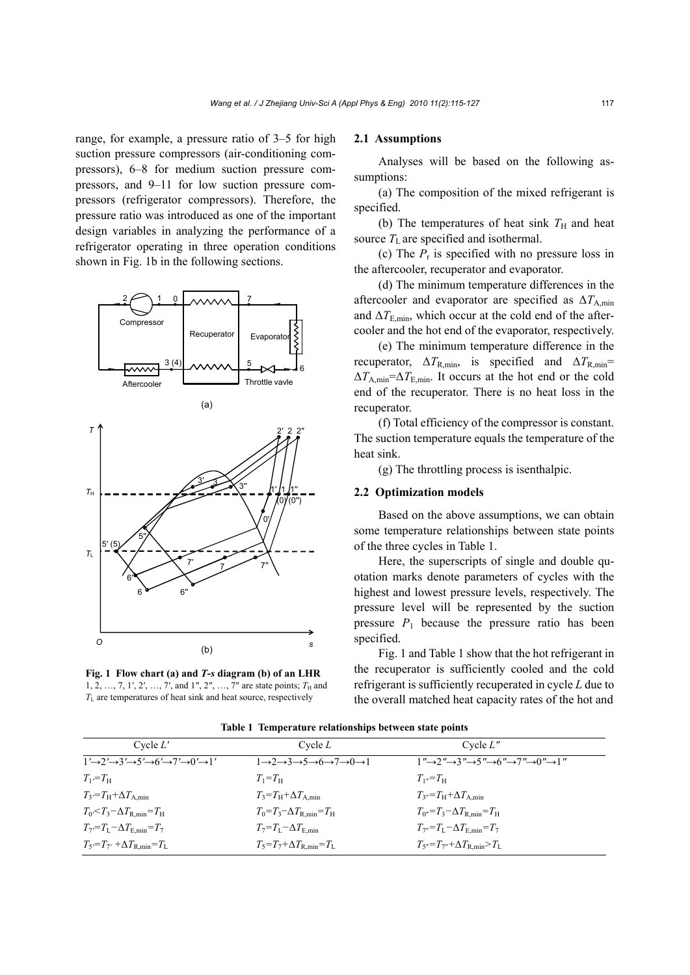range, for example, a pressure ratio of 3–5 for high suction pressure compressors (air-conditioning compressors), 6–8 for medium suction pressure compressors, and 9–11 for low suction pressure compressors (refrigerator compressors). Therefore, the pressure ratio was introduced as one of the important design variables in analyzing the performance of a refrigerator operating in three operation conditions shown in Fig. 1b in the following sections.





**Fig. 1 Flow chart (a) and** *T***-***s* **diagram (b) of an LHR**  1, 2, …, 7, 1', 2', …, 7', and 1'', 2'', …, 7'' are state points;  $T_H$  and *T*L are temperatures of heat sink and heat source, respectively

### **2.1 Assumptions**

Analyses will be based on the following assumptions:

(a) The composition of the mixed refrigerant is specified.

(b) The temperatures of heat sink  $T<sub>H</sub>$  and heat source  $T_{\text{L}}$  are specified and isothermal.

(c) The  $P_r$  is specified with no pressure loss in the aftercooler, recuperator and evaporator.

(d) The minimum temperature differences in the aftercooler and evaporator are specified as  $\Delta T_{\text{A min}}$ and  $\Delta T_{\text{E,min}}$ , which occur at the cold end of the aftercooler and the hot end of the evaporator, respectively.

(e) The minimum temperature difference in the recuperator,  $\Delta T_{\text{R,min}}$  is specified and  $\Delta T_{\text{R,min}}$ = Δ*T*A,min=Δ*T*E,min. It occurs at the hot end or the cold end of the recuperator. There is no heat loss in the recuperator.

(f) Total efficiency of the compressor is constant. The suction temperature equals the temperature of the heat sink.

(g) The throttling process is isenthalpic.

#### **2.2 Optimization models**

Based on the above assumptions, we can obtain some temperature relationships between state points of the three cycles in Table 1.

Here, the superscripts of single and double quotation marks denote parameters of cycles with the highest and lowest pressure levels, respectively. The pressure level will be represented by the suction pressure  $P_1$  because the pressure ratio has been specified.

Fig. 1 and Table 1 show that the hot refrigerant in the recuperator is sufficiently cooled and the cold refrigerant is sufficiently recuperated in cycle *L* due to the overall matched heat capacity rates of the hot and

| Cycle $L'$                                                                                             | Cycle $L$                                                                                      | Cycle $L''$                                                                                                    |
|--------------------------------------------------------------------------------------------------------|------------------------------------------------------------------------------------------------|----------------------------------------------------------------------------------------------------------------|
| $1'\rightarrow 2'\rightarrow 3'\rightarrow 5'\rightarrow 6'\rightarrow 7'\rightarrow 0'\rightarrow 1'$ | $1\rightarrow 2\rightarrow 3\rightarrow 5\rightarrow 6\rightarrow 7\rightarrow 0\rightarrow 1$ | $1''\rightarrow 2''\rightarrow 3''\rightarrow 5''\rightarrow 6''\rightarrow 7''\rightarrow 0''\rightarrow 1''$ |
| $T_{1} = T_{\rm H}$                                                                                    | $T_1 = T_H$                                                                                    | $T_{1''}=T_{\rm H}$                                                                                            |
| $T_3 = T_H + \Delta T_{A,min}$                                                                         | $T_3 = T_H + \Delta T_{A,min}$                                                                 | $T_{3} = T_H + \Delta T_{A,min}$                                                                               |
| $T_0 < T_3 - \Delta T_{\rm R,min} = T_{\rm H}$                                                         | $T_0 = T_3 - \Delta T_{\rm R,min} = T_{\rm H}$                                                 | $T_{0} = T_3 - \Delta T_{\text{R min}} = T_{\text{H}}$                                                         |
| $T_7 = T_L - \Delta T_{\rm E,min} = T_7$                                                               | $T_7 = T_L - \Delta T_{\rm E,min}$                                                             | $T_{7}$ = $T_L$ - $\Delta T_{\text{E,min}}$ = $T_7$                                                            |
| $T_5 = T_7$ , $+\Delta T_{\rm R,min} = T_{\rm L}$                                                      | $T_5 = T_7 + \Delta T_{\rm R,min} = T_{\rm L}$                                                 | $T_{5''} = T_{7''} + \Delta T_{\rm R,min} > T_{\rm L}$                                                         |

**Table 1 Temperature relationships between state points**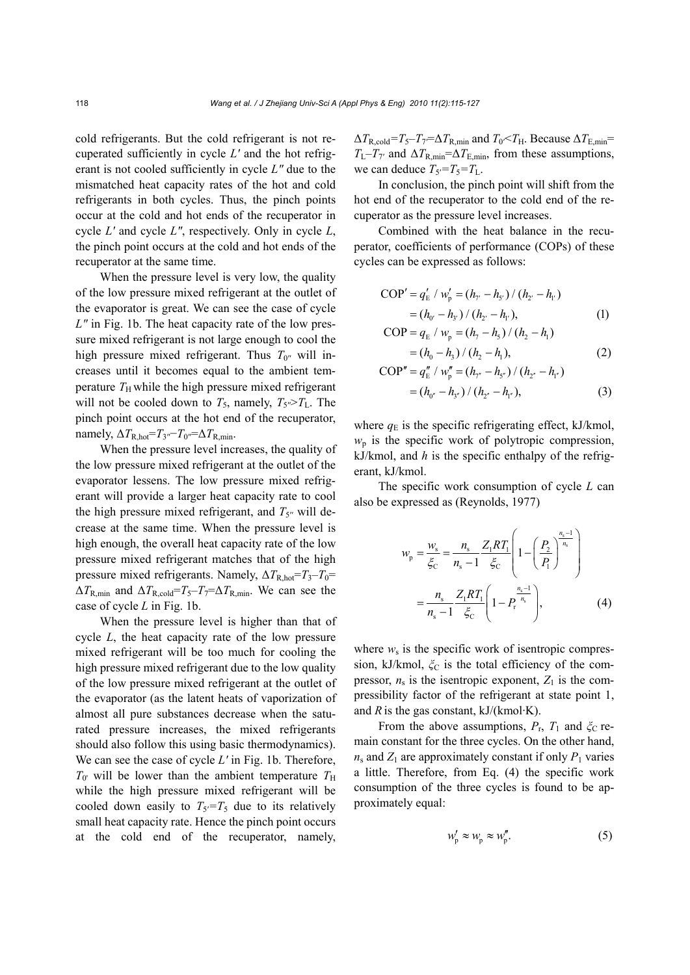cold refrigerants. But the cold refrigerant is not recuperated sufficiently in cycle *L′* and the hot refrigerant is not cooled sufficiently in cycle *L″* due to the mismatched heat capacity rates of the hot and cold refrigerants in both cycles. Thus, the pinch points occur at the cold and hot ends of the recuperator in cycle *L′* and cycle *L″*, respectively. Only in cycle *L*, the pinch point occurs at the cold and hot ends of the recuperator at the same time.

When the pressure level is very low, the quality of the low pressure mixed refrigerant at the outlet of the evaporator is great. We can see the case of cycle *L″* in Fig. 1b. The heat capacity rate of the low pressure mixed refrigerant is not large enough to cool the high pressure mixed refrigerant. Thus  $T_{0}$ <sup>*r*</sup> will increases until it becomes equal to the ambient temperature  $T_H$  while the high pressure mixed refrigerant will not be cooled down to  $T_5$ , namely,  $T_{5}$ <sup> $\gg$ </sup> $T_L$ . The pinch point occurs at the hot end of the recuperator, namely,  $\Delta T_{\text{R,hot}} = T_3$ <sup>'</sup> $\sim$   $T_0$ <sup>'</sup> $=$  $\Delta T_{\text{R,min}}$ .

When the pressure level increases, the quality of the low pressure mixed refrigerant at the outlet of the evaporator lessens. The low pressure mixed refrigerant will provide a larger heat capacity rate to cool the high pressure mixed refrigerant, and  $T_{5}$ <sup>*r*</sup> will decrease at the same time. When the pressure level is high enough, the overall heat capacity rate of the low pressure mixed refrigerant matches that of the high pressure mixed refrigerants. Namely, Δ*T*R,hot=*T*3–*T*0=  $\Delta T_{\text{R,min}}$  and  $\Delta T_{\text{R,cold}} = T_5 - T_7 = \Delta T_{\text{R,min}}$ . We can see the case of cycle *L* in Fig. 1b.

When the pressure level is higher than that of cycle *L*, the heat capacity rate of the low pressure mixed refrigerant will be too much for cooling the high pressure mixed refrigerant due to the low quality of the low pressure mixed refrigerant at the outlet of the evaporator (as the latent heats of vaporization of almost all pure substances decrease when the saturated pressure increases, the mixed refrigerants should also follow this using basic thermodynamics). We can see the case of cycle *L′* in Fig. 1b. Therefore,  $T_0$ <sup>t</sup> will be lower than the ambient temperature  $T_H$ while the high pressure mixed refrigerant will be cooled down easily to  $T_5 = T_5$  due to its relatively small heat capacity rate. Hence the pinch point occurs at the cold end of the recuperator, namely,

 $\Delta T_{\text{R,cold}} = T_5 - T_7 = \Delta T_{\text{R,min}}$  and  $T_0 < T_{\text{H}}$ . Because  $\Delta T_{\text{E,min}} = T_0$  $T_{\text{L}}-T_{\text{7'}}$  and  $\Delta T_{\text{R,min}}=\Delta T_{\text{E,min}}$ , from these assumptions, we can deduce  $T_5 = T_5 = T_L$ .

In conclusion, the pinch point will shift from the hot end of the recuperator to the cold end of the recuperator as the pressure level increases.

Combined with the heat balance in the recuperator, coefficients of performance (COPs) of these cycles can be expressed as follows:

$$
COP' = q'_{E} / w'_{p} = (h_{\gamma'} - h_{s'}) / (h_{2'} - h_{1'})
$$
  
=  $(h_{0'} - h_{3'}) / (h_{2'} - h_{1'})$ , (1)

$$
COP = q_{E} / w_{p} = (h_{7} - h_{5}) / (h_{2} - h_{1})
$$

$$
= (h_0 - h_3) / (h_2 - h_1), \tag{2}
$$

$$
COP'' = q_E'' / w_p'' = (h_{\tau''} - h_{5'}) / (h_{2'} - h_{1'})
$$
  
=  $(h_{0''} - h_{3''}) / (h_{2''} - h_{1''})$ , (3)

where  $q_E$  is the specific refrigerating effect, kJ/kmol,  $w_p$  is the specific work of polytropic compression, kJ/kmol, and *h* is the specific enthalpy of the refrigerant, kJ/kmol.

The specific work consumption of cycle *L* can also be expressed as (Reynolds, 1977)

$$
w_{\rm p} = \frac{w_{\rm s}}{\xi_{\rm c}} = \frac{n_{\rm s}}{n_{\rm s} - 1} \frac{Z_1 R T_1}{\xi_{\rm c}} \left( 1 - \left( \frac{P_2}{P_1} \right)^{\frac{n_{\rm s} - 1}{n_{\rm s}}} \right)
$$

$$
= \frac{n_{\rm s}}{n_{\rm s} - 1} \frac{Z_1 R T_1}{\xi_{\rm c}} \left( 1 - P_{\rm r}^{\frac{n_{\rm s} - 1}{n_{\rm s}}} \right), \tag{4}
$$

where  $w_s$  is the specific work of isentropic compression, kJ/kmol,  $\zeta$ <sub>C</sub> is the total efficiency of the compressor,  $n_s$  is the isentropic exponent,  $Z_1$  is the compressibility factor of the refrigerant at state point 1, and  $R$  is the gas constant,  $kJ/(kmol·K)$ .

From the above assumptions,  $P_r$ ,  $T_1$  and  $\zeta_c$  remain constant for the three cycles. On the other hand,  $n_s$  and  $Z_1$  are approximately constant if only  $P_1$  varies a little. Therefore, from Eq. (4) the specific work consumption of the three cycles is found to be approximately equal:

$$
w'_{\rm p} \approx w_{\rm p} \approx w''_{\rm p}.\tag{5}
$$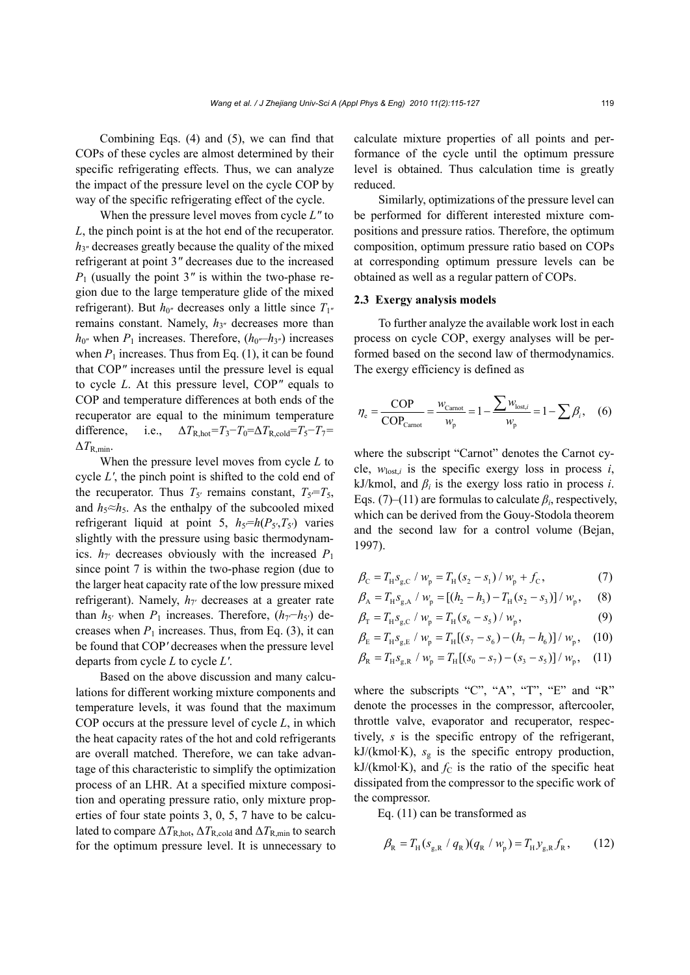Combining Eqs. (4) and (5), we can find that COPs of these cycles are almost determined by their specific refrigerating effects. Thus, we can analyze the impact of the pressure level on the cycle COP by way of the specific refrigerating effect of the cycle.

When the pressure level moves from cycle *L″* to *L*, the pinch point is at the hot end of the recuperator. *h*3″ decreases greatly because the quality of the mixed refrigerant at point 3*″* decreases due to the increased *P*<sup>1</sup> (usually the point 3*″* is within the two-phase region due to the large temperature glide of the mixed refrigerant). But  $h_{0''}$  decreases only a little since  $T_{1''}$ remains constant. Namely,  $h_{3}$ <sup>n</sup> decreases more than  $h_{0''}$  when  $P_1$  increases. Therefore,  $(h_{0''}-h_{3''})$  increases when  $P_1$  increases. Thus from Eq. (1), it can be found that COP*″* increases until the pressure level is equal to cycle *L*. At this pressure level, COP*″* equals to COP and temperature differences at both ends of the recuperator are equal to the minimum temperature difference, i.e.,  $\Delta T_{\text{R hot}} = T_3 - T_0 = \Delta T_{\text{R cold}} = T_5 - T_7 =$  $\Delta T_{\rm R,min}$ .

When the pressure level moves from cycle *L* to cycle *L′*, the pinch point is shifted to the cold end of the recuperator. Thus  $T_{5'}$  remains constant,  $T_{5} = T_{5}$ , and  $h_5 \approx h_5$ . As the enthalpy of the subcooled mixed refrigerant liquid at point 5,  $h_5 = h(P_5, T_5)$  varies slightly with the pressure using basic thermodynamics.  $h_{7'}$  decreases obviously with the increased  $P_1$ since point 7 is within the two-phase region (due to the larger heat capacity rate of the low pressure mixed refrigerant). Namely,  $h_{7'}$  decreases at a greater rate than  $h_5$ <sup>*'*</sup> when  $P_1$  increases. Therefore,  $(h_7-h_5)$  decreases when  $P_1$  increases. Thus, from Eq. (3), it can be found that COP*′* decreases when the pressure level departs from cycle *L* to cycle *L′*.

Based on the above discussion and many calculations for different working mixture components and temperature levels, it was found that the maximum COP occurs at the pressure level of cycle *L*, in which the heat capacity rates of the hot and cold refrigerants are overall matched. Therefore, we can take advantage of this characteristic to simplify the optimization process of an LHR. At a specified mixture composition and operating pressure ratio, only mixture properties of four state points 3, 0, 5, 7 have to be calculated to compare  $\Delta T_{\rm R hot}$ ,  $\Delta T_{\rm R cold}$  and  $\Delta T_{\rm R,min}$  to search for the optimum pressure level. It is unnecessary to

calculate mixture properties of all points and performance of the cycle until the optimum pressure level is obtained. Thus calculation time is greatly reduced.

Similarly, optimizations of the pressure level can be performed for different interested mixture compositions and pressure ratios. Therefore, the optimum composition, optimum pressure ratio based on COPs at corresponding optimum pressure levels can be obtained as well as a regular pattern of COPs.

## **2.3 Exergy analysis models**

To further analyze the available work lost in each process on cycle COP, exergy analyses will be performed based on the second law of thermodynamics. The exergy efficiency is defined as

$$
\eta_{\rm e} = \frac{\text{COP}}{\text{COP}_{\text{Carnot}}} = \frac{w_{\text{Carnot}}}{w_{\rm p}} = 1 - \frac{\sum w_{\text{lost},i}}{w_{\rm p}} = 1 - \sum \beta_i, \quad (6)
$$

where the subscript "Carnot" denotes the Carnot cycle,  $w_{\text{lost},i}$  is the specific exergy loss in process *i*, kJ/kmol, and  $\beta_i$  is the exergy loss ratio in process *i*. Eqs. (7)–(11) are formulas to calculate  $\beta_i$ , respectively, which can be derived from the Gouy-Stodola theorem and the second law for a control volume (Bejan, 1997).

$$
\beta_{\rm C} = T_{\rm H} s_{\rm g,C} / w_{\rm p} = T_{\rm H} (s_2 - s_1) / w_{\rm p} + f_{\rm C},\tag{7}
$$

$$
\beta_{A} = T_{H} S_{g,A} / w_{p} = [(h_{2} - h_{3}) - T_{H}(s_{2} - s_{3})] / w_{p}, \quad (8)
$$

$$
\beta_{\rm T} = T_{\rm H} s_{\rm g,C} / w_{\rm p} = T_{\rm H} (s_{\rm 6} - s_{\rm 5}) / w_{\rm p}, \qquad (9)
$$

$$
\beta_{\rm E} = T_{\rm H} s_{\rm g,E} / w_{\rm p} = T_{\rm H} [(s_7 - s_6) - (h_7 - h_6)] / w_{\rm p}, \quad (10)
$$

$$
\beta_{\rm R} = T_{\rm H} s_{\rm g,R} / w_{\rm p} = T_{\rm H} [(s_0 - s_7) - (s_3 - s_5)] / w_{\rm p}, \quad (11)
$$

where the subscripts "C", "A", "T", "E" and "R" denote the processes in the compressor, aftercooler, throttle valve, evaporator and recuperator, respectively, *s* is the specific entropy of the refrigerant, kJ/(kmol·K),  $s_g$  is the specific entropy production, kJ/(kmol·K), and  $f_C$  is the ratio of the specific heat dissipated from the compressor to the specific work of the compressor.

Eq. (11) can be transformed as

$$
\beta_{\rm R} = T_{\rm H} (s_{\rm g,R} / q_{\rm R}) (q_{\rm R} / w_{\rm p}) = T_{\rm H} y_{\rm g,R} f_{\rm R}, \qquad (12)
$$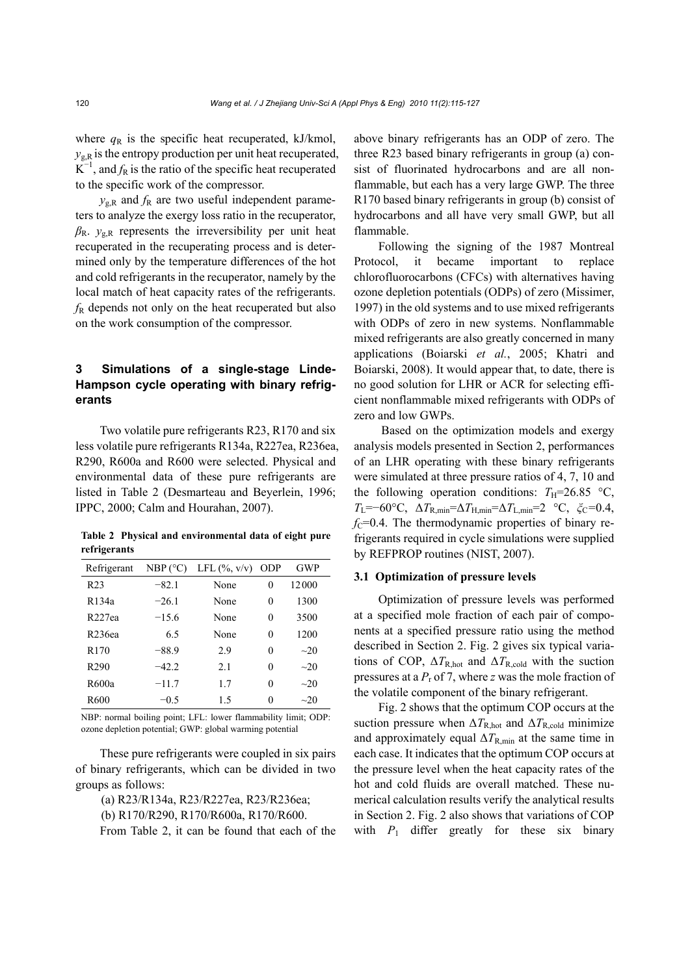where  $q<sub>R</sub>$  is the specific heat recuperated, kJ/kmol,  $y_{gR}$  is the entropy production per unit heat recuperated,  $K^{-1}$ , and  $f_R$  is the ratio of the specific heat recuperated to the specific work of the compressor.

 $y_{gR}$  and  $f_R$  are two useful independent parameters to analyze the exergy loss ratio in the recuperator,  $\beta_{\rm R}$ .  $y_{\rm g,R}$  represents the irreversibility per unit heat recuperated in the recuperating process and is determined only by the temperature differences of the hot and cold refrigerants in the recuperator, namely by the local match of heat capacity rates of the refrigerants. *f*R depends not only on the heat recuperated but also on the work consumption of the compressor.

# **3 Simulations of a single-stage Linde-Hampson cycle operating with binary refrigerants**

Two volatile pure refrigerants R23, R170 and six less volatile pure refrigerants R134a, R227ea, R236ea, R290, R600a and R600 were selected. Physical and environmental data of these pure refrigerants are listed in Table 2 (Desmarteau and Beyerlein, 1996; IPPC, 2000; Calm and Hourahan, 2007).

**Table 2 Physical and environmental data of eight pure refrigerants** 

| Refrigerant        | NBP (°C) | LFL $(\%$ , $v/v)$ ODP |          | GWP       |
|--------------------|----------|------------------------|----------|-----------|
| R <sub>23</sub>    | $-82.1$  | None                   | 0        | 12000     |
| R <sub>134a</sub>  | $-26.1$  | None                   | 0        | 1300      |
| R <sub>227ea</sub> | $-15.6$  | None                   | 0        | 3500      |
| R236ea             | 65       | None                   | 0        | 1200      |
| R <sub>170</sub>   | $-88.9$  | 2.9                    | 0        | $\sim$ 20 |
| R <sub>290</sub>   | $-42.2$  | 2.1                    | $\theta$ | $\sim$ 20 |
| R600a              | $-11.7$  | 1.7                    | 0        | $\sim$ 20 |
| R600               | $-0.5$   | 15                     | 0        | $\sim$ 20 |

NBP: normal boiling point; LFL: lower flammability limit; ODP: ozone depletion potential; GWP: global warming potential

These pure refrigerants were coupled in six pairs of binary refrigerants, which can be divided in two groups as follows:

(a) R23/R134a, R23/R227ea, R23/R236ea;

(b) R170/R290, R170/R600a, R170/R600.

From Table 2, it can be found that each of the

above binary refrigerants has an ODP of zero. The three R23 based binary refrigerants in group (a) consist of fluorinated hydrocarbons and are all nonflammable, but each has a very large GWP. The three R170 based binary refrigerants in group (b) consist of hydrocarbons and all have very small GWP, but all flammable.

Following the signing of the 1987 Montreal Protocol, it became important to replace chlorofluorocarbons (CFCs) with alternatives having ozone depletion potentials (ODPs) of zero (Missimer, 1997) in the old systems and to use mixed refrigerants with ODPs of zero in new systems. Nonflammable mixed refrigerants are also greatly concerned in many applications (Boiarski *et al.*, 2005; Khatri and Boiarski, 2008). It would appear that, to date, there is no good solution for LHR or ACR for selecting efficient nonflammable mixed refrigerants with ODPs of zero and low GWPs.

 Based on the optimization models and exergy analysis models presented in Section 2, performances of an LHR operating with these binary refrigerants were simulated at three pressure ratios of 4, 7, 10 and the following operation conditions:  $T_H=26.85 \text{ °C}$ ,  $T_{\rm L}$ =−60°C, Δ $T_{\rm R,min}$ =Δ $T_{\rm H,min}$ =Δ $T_{\rm L,min}$ =2 °C,  $\zeta$ <sub>C</sub>=0.4,  $f_{\rm C}$ =0.4. The thermodynamic properties of binary refrigerants required in cycle simulations were supplied by REFPROP routines (NIST, 2007).

#### **3.1 Optimization of pressure levels**

Optimization of pressure levels was performed at a specified mole fraction of each pair of components at a specified pressure ratio using the method described in Section 2. Fig. 2 gives six typical variations of COP,  $\Delta T_{\text{R-hot}}$  and  $\Delta T_{\text{R cold}}$  with the suction pressures at a *P*<sup>r</sup> of 7, where *z* was the mole fraction of the volatile component of the binary refrigerant.

Fig. 2 shows that the optimum COP occurs at the suction pressure when  $\Delta T_{\rm R,hot}$  and  $\Delta T_{\rm R,cold}$  minimize and approximately equal  $\Delta T_{\text{R,min}}$  at the same time in each case. It indicates that the optimum COP occurs at the pressure level when the heat capacity rates of the hot and cold fluids are overall matched. These numerical calculation results verify the analytical results in Section 2. Fig. 2 also shows that variations of COP with  $P_1$  differ greatly for these six binary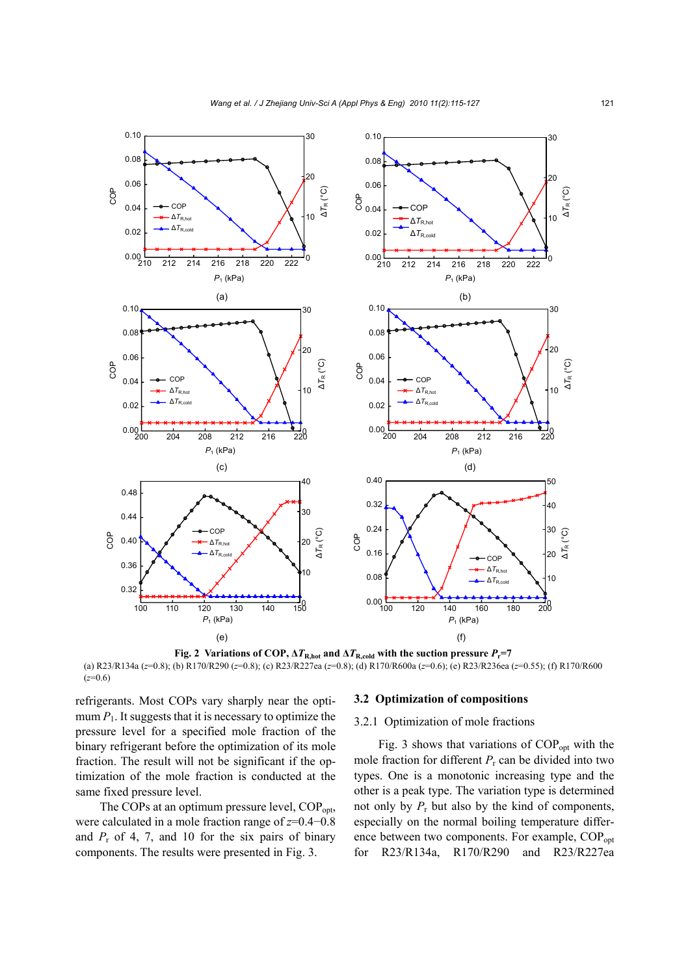

**Fig. 2** Variations of COP,  $\Delta T_{\text{R,hot}}$  and  $\Delta T_{\text{R,cold}}$  with the suction pressure  $P_{\text{r}}=7$ (a) R23/R134a (*z*=0.8); (b) R170/R290 (*z*=0.8); (c) R23/R227ea (*z*=0.8); (d) R170/R600a (*z*=0.6); (e) R23/R236ea (*z*=0.55); (f) R170/R600 (*z*=0.6)

refrigerants. Most COPs vary sharply near the optimum  $P_1$ . It suggests that it is necessary to optimize the pressure level for a specified mole fraction of the binary refrigerant before the optimization of its mole fraction. The result will not be significant if the optimization of the mole fraction is conducted at the same fixed pressure level.

The COPs at an optimum pressure level, COP<sub>opt</sub>, were calculated in a mole fraction range of *z*=0.4−0.8 and  $P_r$  of 4, 7, and 10 for the six pairs of binary components. The results were presented in Fig. 3.

#### **3.2 Optimization of compositions**

## 3.2.1 Optimization of mole fractions

Fig. 3 shows that variations of  $COP<sub>oot</sub>$  with the mole fraction for different  $P_r$  can be divided into two types. One is a monotonic increasing type and the other is a peak type. The variation type is determined not only by  $P_r$  but also by the kind of components, especially on the normal boiling temperature difference between two components. For example, COP<sub>opt</sub> for R23/R134a, R170/R290 and R23/R227ea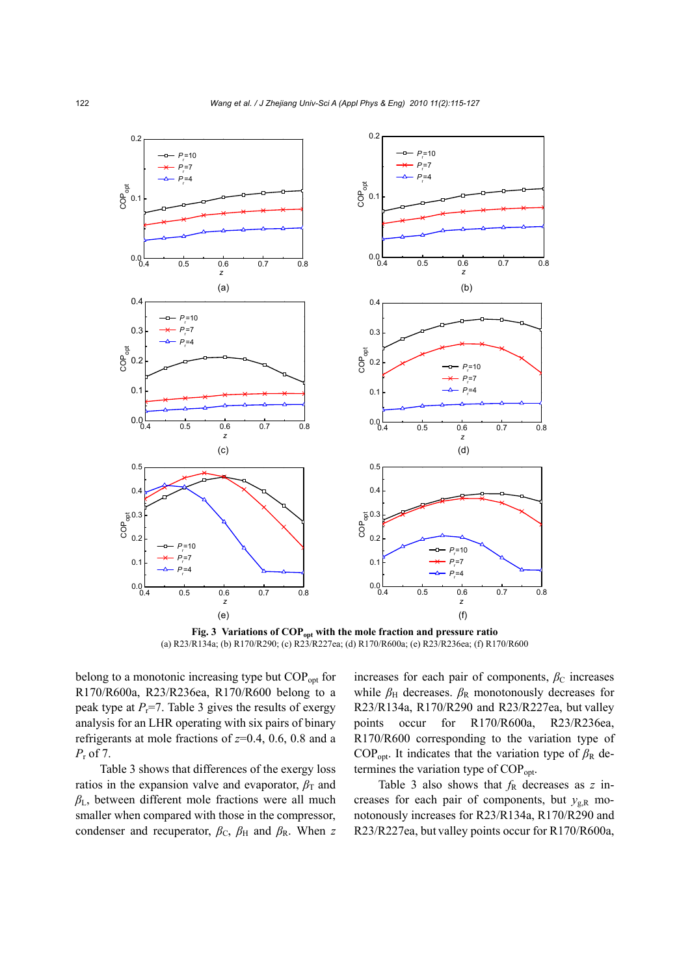

Fig. 3 Variations of COP<sub>opt</sub> with the mole fraction and pressure ratio (a) R23/R134a; (b) R170/R290; (c) R23/R227ea; (d) R170/R600a; (e) R23/R236ea; (f) R170/R600

belong to a monotonic increasing type but COP<sub>opt</sub> for R170/R600a, R23/R236ea, R170/R600 belong to a peak type at  $P_r$ =7. Table 3 gives the results of exergy analysis for an LHR operating with six pairs of binary refrigerants at mole fractions of *z*=0.4, 0.6, 0.8 and a *P*<sup>r</sup> of 7.

Table 3 shows that differences of the exergy loss ratios in the expansion valve and evaporator,  $\beta$ <sup>T</sup> and *β*L, between different mole fractions were all much smaller when compared with those in the compressor, condenser and recuperator,  $\beta_c$ ,  $\beta_H$  and  $\beta_R$ . When *z* 

increases for each pair of components,  $\beta_c$  increases while  $\beta_H$  decreases.  $\beta_R$  monotonously decreases for R23/R134a, R170/R290 and R23/R227ea, but valley points occur for R170/R600a, R23/R236ea, R170/R600 corresponding to the variation type of COP<sub>opt</sub>. It indicates that the variation type of  $\beta_R$  determines the variation type of COP<sub>opt</sub>.

Table 3 also shows that  $f<sub>R</sub>$  decreases as  $z$  increases for each pair of components, but  $y_{g,R}$  monotonously increases for R23/R134a, R170/R290 and R23/R227ea, but valley points occur for R170/R600a,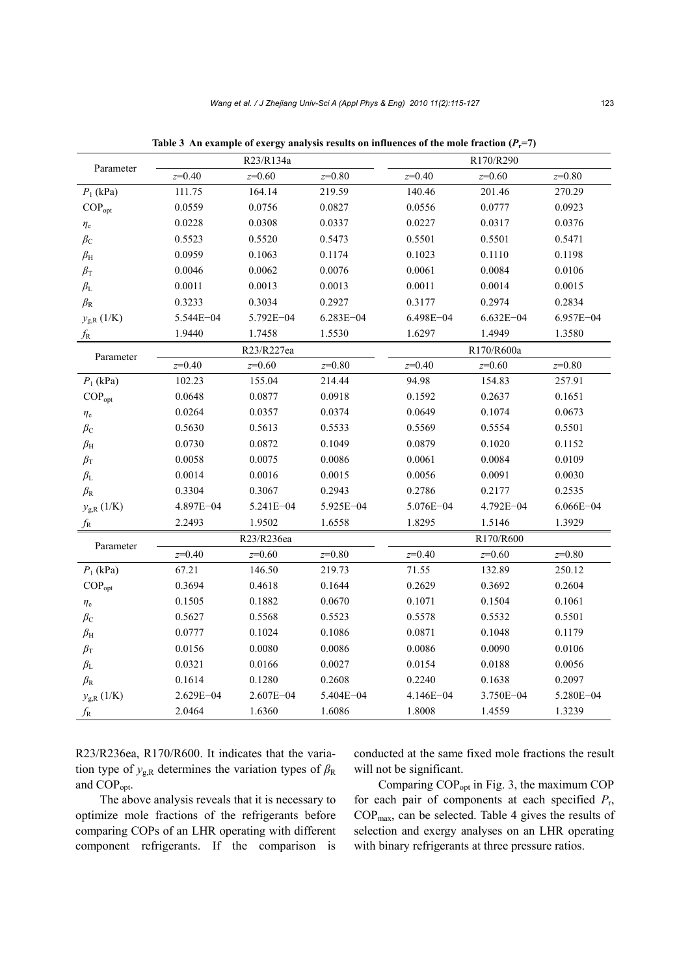| Parameter                         | R23/R134a |               |           | R170/R290  |               |               |
|-----------------------------------|-----------|---------------|-----------|------------|---------------|---------------|
|                                   | $z=0.40$  | $z=0.60$      | $z=0.80$  | $z=0.40$   | $z=0.60$      | $z=0.80$      |
| $P_1$ (kPa)                       | 111.75    | 164.14        | 219.59    | 140.46     | 201.46        | 270.29        |
| $COP_{opt}$                       | 0.0559    | 0.0756        | 0.0827    | 0.0556     | 0.0777        | 0.0923        |
| $\eta_{\rm e}$                    | 0.0228    | 0.0308        | 0.0337    | 0.0227     | 0.0317        | 0.0376        |
| $\beta_{\rm C}$                   | 0.5523    | 0.5520        | 0.5473    | 0.5501     | 0.5501        | 0.5471        |
| $\beta_{\rm H}$                   | 0.0959    | 0.1063        | 0.1174    | 0.1023     | 0.1110        | 0.1198        |
| $\beta_{\rm T}$                   | 0.0046    | 0.0062        | 0.0076    | 0.0061     | 0.0084        | 0.0106        |
| $\beta_{\rm L}$                   | 0.0011    | 0.0013        | 0.0013    | 0.0011     | 0.0014        | 0.0015        |
| $\beta_{\rm R}$                   | 0.3233    | 0.3034        | 0.2927    | 0.3177     | 0.2974        | 0.2834        |
| $y_{g,R}$ (1/K)                   | 5.544E-04 | 5.792E-04     | 6.283E-04 | 6.498E-04  | $6.632E - 04$ | 6.957E-04     |
| $f_{\rm R}$                       | 1.9440    | 1.7458        | 1.5530    | 1.6297     | 1.4949        | 1.3580        |
| Parameter                         |           | R23/R227ea    |           | R170/R600a |               |               |
|                                   | $z=0.40$  | $z=0.60$      | $z=0.80$  | $z=0.40$   | $z=0.60$      | $z=0.80$      |
| $P_1$ (kPa)                       | 102.23    | 155.04        | 214.44    | 94.98      | 154.83        | 257.91        |
| $COP_{opt}$                       | 0.0648    | 0.0877        | 0.0918    | 0.1592     | 0.2637        | 0.1651        |
| $\eta_{\rm e}$                    | 0.0264    | 0.0357        | 0.0374    | 0.0649     | 0.1074        | 0.0673        |
| $\beta_{\rm C}$                   | 0.5630    | 0.5613        | 0.5533    | 0.5569     | 0.5554        | 0.5501        |
| $\beta_{\rm H}$                   | 0.0730    | 0.0872        | 0.1049    | 0.0879     | 0.1020        | 0.1152        |
| $\beta_{\rm T}$                   | 0.0058    | 0.0075        | 0.0086    | 0.0061     | 0.0084        | 0.0109        |
| $\beta_{\rm L}$                   | 0.0014    | 0.0016        | 0.0015    | 0.0056     | 0.0091        | 0.0030        |
| $\beta_{\rm R}$                   | 0.3304    | 0.3067        | 0.2943    | 0.2786     | 0.2177        | 0.2535        |
| $y_{\rm g,R}\left(1/\rm K\right)$ | 4.897E-04 | 5.241E-04     | 5.925E-04 | 5.076E-04  | 4.792E-04     | $6.066E - 04$ |
| $f_{\rm R}$                       | 2.2493    | 1.9502        | 1.6558    | 1.8295     | 1.5146        | 1.3929        |
| Parameter                         |           | R23/R236ea    |           |            | R170/R600     |               |
|                                   | $z=0.40$  | $z=0.60$      | $z=0.80$  | $z=0.40$   | $z=0.60$      | $z=0.80$      |
| $P_1$ (kPa)                       | 67.21     | 146.50        | 219.73    | 71.55      | 132.89        | 250.12        |
| $COP_{opt}$                       | 0.3694    | 0.4618        | 0.1644    | 0.2629     | 0.3692        | 0.2604        |
| $\eta_{\rm e}$                    | 0.1505    | 0.1882        | 0.0670    | 0.1071     | 0.1504        | 0.1061        |
| $\beta_{\rm C}$                   | 0.5627    | 0.5568        | 0.5523    | 0.5578     | 0.5532        | 0.5501        |
| $\beta_{\rm H}$                   | 0.0777    | 0.1024        | 0.1086    | 0.0871     | 0.1048        | 0.1179        |
| $\beta_{\rm T}$                   | 0.0156    | 0.0080        | 0.0086    | 0.0086     | 0.0090        | 0.0106        |
| $\beta_{\rm L}$                   | 0.0321    | 0.0166        | 0.0027    | 0.0154     | 0.0188        | 0.0056        |
| $\beta_{\rm R}$                   | 0.1614    | 0.1280        | 0.2608    | 0.2240     | 0.1638        | 0.2097        |
| $y_{\rm g,R}\left(1/\rm K\right)$ | 2.629E-04 | $2.607E - 04$ | 5.404E-04 | 4.146E-04  | 3.750E-04     | 5.280E-04     |
| $f_{\rm R}$                       | 2.0464    | 1.6360        | 1.6086    | 1.8008     | 1.4559        | 1.3239        |

Table 3 An example of exergy analysis results on influences of the mole fraction  $(P_r=7)$ 

R23/R236ea, R170/R600. It indicates that the variation type of  $y_{g,R}$  determines the variation types of  $\beta_R$ and COPopt.

The above analysis reveals that it is necessary to optimize mole fractions of the refrigerants before comparing COPs of an LHR operating with different component refrigerants. If the comparison is conducted at the same fixed mole fractions the result will not be significant.

Comparing COPopt in Fig. 3, the maximum COP for each pair of components at each specified *P*r, COPmax, can be selected. Table 4 gives the results of selection and exergy analyses on an LHR operating with binary refrigerants at three pressure ratios.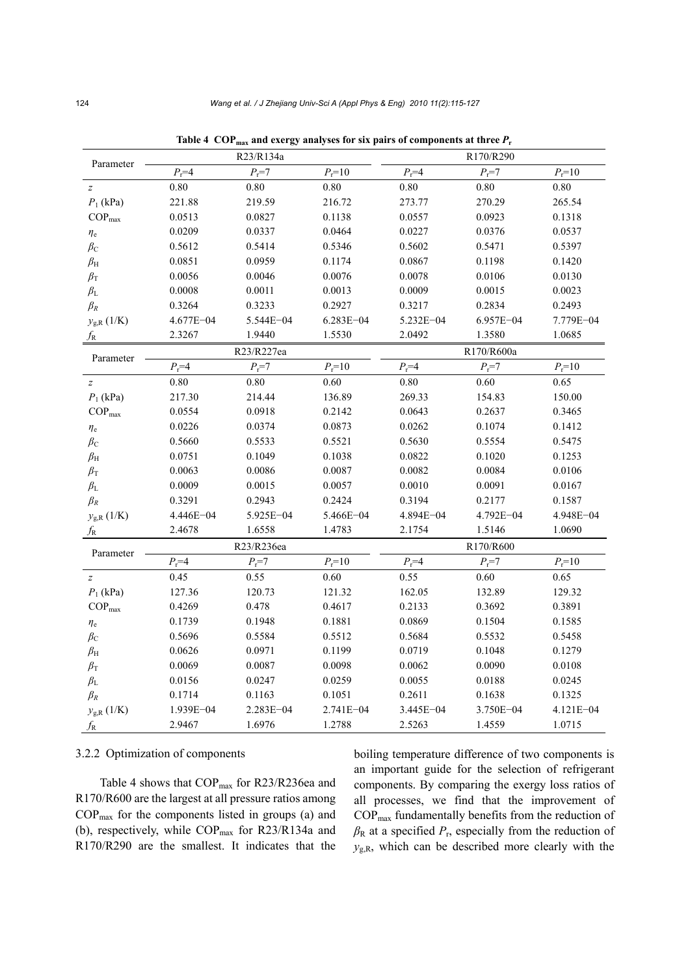| Parameter                         | R23/R134a       |                 |                  | R170/R290       |                 |              |  |
|-----------------------------------|-----------------|-----------------|------------------|-----------------|-----------------|--------------|--|
|                                   | $P_{\rm r} = 4$ | $P_{\rm r} = 7$ | $P_{\rm r} = 10$ | $P_{\rm r} = 4$ | $P_{\rm r} = 7$ | $P_{r} = 10$ |  |
| $\boldsymbol{z}$                  | 0.80            | 0.80            | 0.80             | $0.80\,$        | 0.80            | 0.80         |  |
| $P_1$ (kPa)                       | 221.88          | 219.59          | 216.72           | 273.77          | 270.29          | 265.54       |  |
| $\text{COP}_{\text{max}}$         | 0.0513          | 0.0827          | 0.1138           | 0.0557          | 0.0923          | 0.1318       |  |
| $\eta_{\rm e}$                    | 0.0209          | 0.0337          | 0.0464           | 0.0227          | 0.0376          | 0.0537       |  |
| $\beta_{\rm C}$                   | 0.5612          | 0.5414          | 0.5346           | 0.5602          | 0.5471          | 0.5397       |  |
| $\beta_{\rm H}$                   | 0.0851          | 0.0959          | 0.1174           | 0.0867          | 0.1198          | 0.1420       |  |
| $\beta_{\rm T}$                   | 0.0056          | 0.0046          | 0.0076           | 0.0078          | 0.0106          | 0.0130       |  |
| $\beta_{\rm L}$                   | 0.0008          | 0.0011          | 0.0013           | 0.0009          | 0.0015          | 0.0023       |  |
| $\beta_R$                         | 0.3264          | 0.3233          | 0.2927           | 0.3217          | 0.2834          | 0.2493       |  |
| $y_{\rm g,R}\left(1/\rm K\right)$ | 4.677E-04       | 5.544E-04       | 6.283E-04        | 5.232E-04       | 6.957E-04       | 7.779E-04    |  |
| $f_{\rm R}$                       | 2.3267          | 1.9440          | 1.5530           | 2.0492          | 1.3580          | 1.0685       |  |
| Parameter                         | R23/R227ea      |                 |                  | R170/R600a      |                 |              |  |
|                                   | $P_r = 4$       | $P_{\rm r} = 7$ | $P_{\rm r} = 10$ | $P_{r} = 4$     | $P_{\rm r} = 7$ | $P_{r} = 10$ |  |
| $\boldsymbol{z}$                  | $0.80\,$        | $0.80\,$        | 0.60             | 0.80            | 0.60            | 0.65         |  |
| $P_1$ (kPa)                       | 217.30          | 214.44          | 136.89           | 269.33          | 154.83          | 150.00       |  |
| $COP_{max}$                       | 0.0554          | 0.0918          | 0.2142           | 0.0643          | 0.2637          | 0.3465       |  |
| $\eta_{\rm e}$                    | 0.0226          | 0.0374          | 0.0873           | 0.0262          | 0.1074          | 0.1412       |  |
| $\beta_{\rm C}$                   | 0.5660          | 0.5533          | 0.5521           | 0.5630          | 0.5554          | 0.5475       |  |
| $\beta_{\rm H}$                   | 0.0751          | 0.1049          | 0.1038           | 0.0822          | 0.1020          | 0.1253       |  |
| $\beta_{\rm T}$                   | 0.0063          | 0.0086          | 0.0087           | 0.0082          | 0.0084          | 0.0106       |  |
| $\beta_{\rm L}$                   | 0.0009          | 0.0015          | 0.0057           | 0.0010          | 0.0091          | 0.0167       |  |
| $\beta_R$                         | 0.3291          | 0.2943          | 0.2424           | 0.3194          | 0.2177          | 0.1587       |  |
| $y_{g,R}$ (1/K)                   | 4.446E-04       | 5.925E-04       | 5.466E-04        | 4.894E-04       | 4.792E-04       | 4.948E-04    |  |
| $f_{\rm R}$                       | 2.4678          | 1.6558          | 1.4783           | 2.1754          | 1.5146          | 1.0690       |  |
| Parameter                         | R23/R236ea      |                 |                  | R170/R600       |                 |              |  |
|                                   | $P_{\rm r}$ =4  | $P_{\rm r} = 7$ | $P_{r} = 10$     | $P_r = 4$       | $P_{\rm r} = 7$ | $P_{r} = 10$ |  |
| $\boldsymbol{Z}$                  | 0.45            | 0.55            | 0.60             | 0.55            | 0.60            | 0.65         |  |
| $P_1$ (kPa)                       | 127.36          | 120.73          | 121.32           | 162.05          | 132.89          | 129.32       |  |
| $COP_{max}$                       | 0.4269          | 0.478           | 0.4617           | 0.2133          | 0.3692          | 0.3891       |  |
| $\eta_{\rm e}$                    | 0.1739          | 0.1948          | 0.1881           | 0.0869          | 0.1504          | 0.1585       |  |
| $\beta_{\rm C}$                   | 0.5696          | 0.5584          | 0.5512           | 0.5684          | 0.5532          | 0.5458       |  |
| $\beta_{\rm H}$                   | 0.0626          | 0.0971          | 0.1199           | 0.0719          | 0.1048          | 0.1279       |  |
| $\beta_{\rm T}$                   | 0.0069          | 0.0087          | 0.0098           | 0.0062          | 0.0090          | 0.0108       |  |
| $\beta_{\rm L}$                   | 0.0156          | 0.0247          | 0.0259           | 0.0055          | 0.0188          | 0.0245       |  |
| $\beta_R$                         | 0.1714          | 0.1163          | 0.1051           | 0.2611          | 0.1638          | 0.1325       |  |
| $y_{\rm g,R}\left(1/\rm K\right)$ | 1.939E-04       | 2.283E-04       | 2.741E-04        | 3.445E-04       | 3.750E-04       | 4.121E-04    |  |
| $f_{\rm R}$                       | 2.9467          | 1.6976          | 1.2788           | 2.5263          | 1.4559          | 1.0715       |  |

Table 4  $\text{COP}_{\text{max}}$  and exergy analyses for six pairs of components at three  $P_r$ 

## 3.2.2 Optimization of components

Table 4 shows that COP<sub>max</sub> for R23/R236ea and R170/R600 are the largest at all pressure ratios among  $COP_{\text{max}}$  for the components listed in groups (a) and (b), respectively, while COP<sub>max</sub> for R23/R134a and R170/R290 are the smallest. It indicates that the

boiling temperature difference of two components is an important guide for the selection of refrigerant components. By comparing the exergy loss ratios of all processes, we find that the improvement of COPmax fundamentally benefits from the reduction of  $\beta_R$  at a specified  $P_r$ , especially from the reduction of  $y_{\text{g,R}}$ , which can be described more clearly with the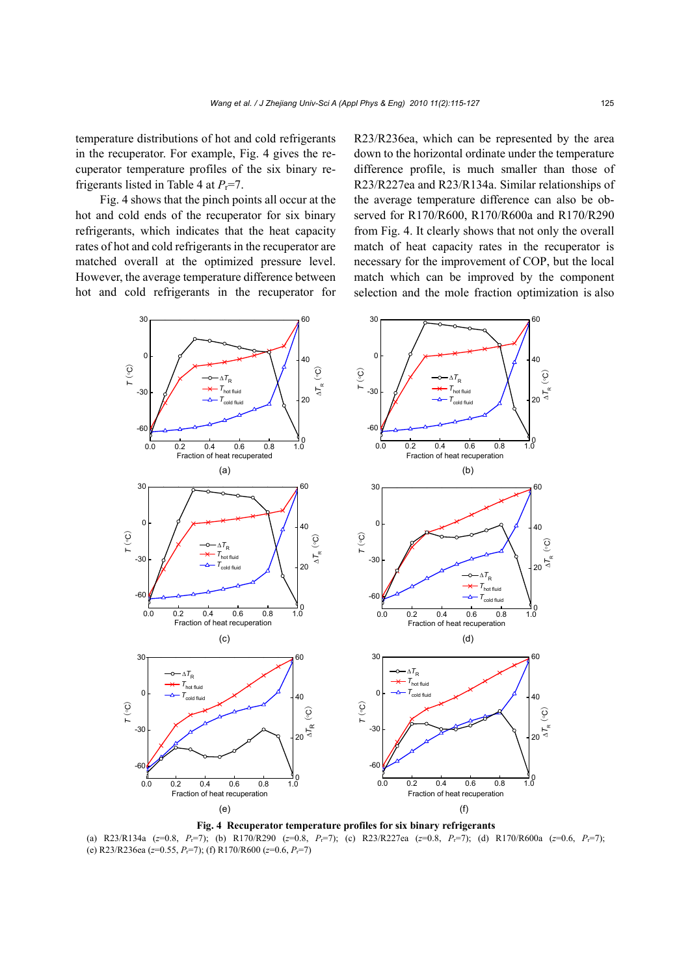temperature distributions of hot and cold refrigerants in the recuperator. For example, Fig. 4 gives the recuperator temperature profiles of the six binary refrigerants listed in Table 4 at  $P_r = 7$ .

Fig. 4 shows that the pinch points all occur at the hot and cold ends of the recuperator for six binary refrigerants, which indicates that the heat capacity rates of hot and cold refrigerants in the recuperator are matched overall at the optimized pressure level. However, the average temperature difference between hot and cold refrigerants in the recuperator for R23/R236ea, which can be represented by the area down to the horizontal ordinate under the temperature difference profile, is much smaller than those of R23/R227ea and R23/R134a. Similar relationships of the average temperature difference can also be observed for R170/R600, R170/R600a and R170/R290 from Fig. 4. It clearly shows that not only the overall match of heat capacity rates in the recuperator is necessary for the improvement of COP, but the local match which can be improved by the component selection and the mole fraction optimization is also



**Fig. 4 Recuperator temperature profiles for six binary refrigerants**  (a) R23/R134a (*z*=0.8, *P*r=7); (b) R170/R290 (*z*=0.8, *P*r=7); (c) R23/R227ea (*z*=0.8, *P*r=7); (d) R170/R600a (*z*=0.6, *P*r=7); (e) R23/R236ea (*z*=0.55, *P*r=7); (f) R170/R600 (*z*=0.6, *P*r=7)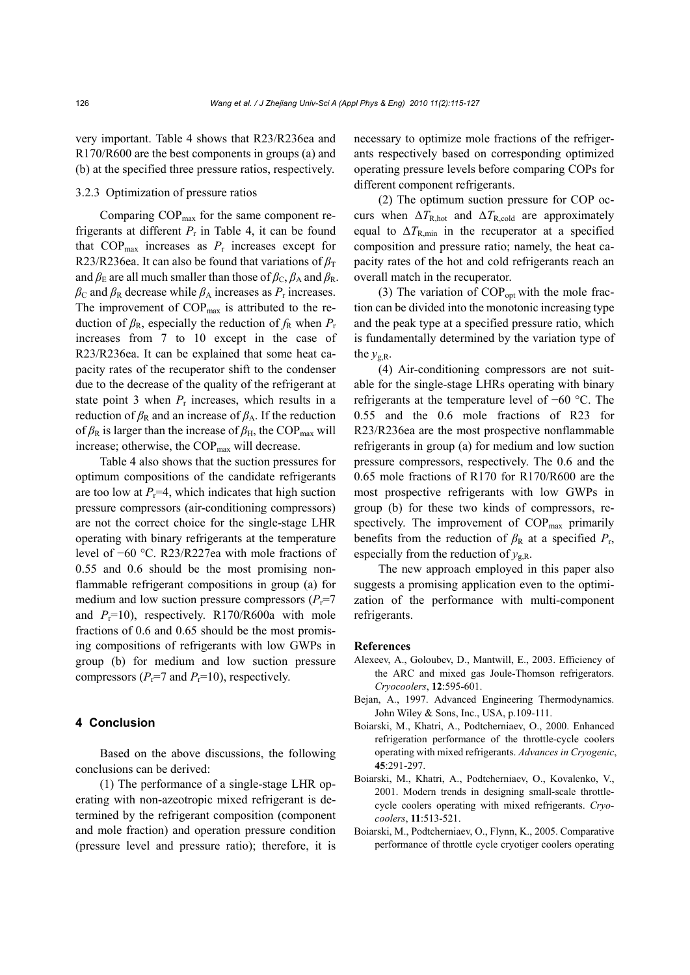very important. Table 4 shows that R23/R236ea and R170/R600 are the best components in groups (a) and (b) at the specified three pressure ratios, respectively.

# 3.2.3 Optimization of pressure ratios

Comparing COP<sub>max</sub> for the same component refrigerants at different  $P_r$  in Table 4, it can be found that  $COP_{\text{max}}$  increases as  $P_r$  increases except for R23/R236ea. It can also be found that variations of  $\beta_T$ and  $\beta_E$  are all much smaller than those of  $\beta_C$ ,  $\beta_A$  and  $\beta_R$ .  $\beta_c$  and  $\beta_R$  decrease while  $\beta_A$  increases as  $P_r$  increases. The improvement of  $COP_{\text{max}}$  is attributed to the reduction of  $\beta_R$ , especially the reduction of  $f_R$  when  $P_r$ increases from 7 to 10 except in the case of R23/R236ea. It can be explained that some heat capacity rates of the recuperator shift to the condenser due to the decrease of the quality of the refrigerant at state point 3 when  $P_r$  increases, which results in a reduction of  $\beta_R$  and an increase of  $\beta_A$ . If the reduction of  $\beta_R$  is larger than the increase of  $\beta_H$ , the COP<sub>max</sub> will increase; otherwise, the COP<sub>max</sub> will decrease.

Table 4 also shows that the suction pressures for optimum compositions of the candidate refrigerants are too low at  $P_r=4$ , which indicates that high suction pressure compressors (air-conditioning compressors) are not the correct choice for the single-stage LHR operating with binary refrigerants at the temperature level of −60 °C. R23/R227ea with mole fractions of 0.55 and 0.6 should be the most promising nonflammable refrigerant compositions in group (a) for medium and low suction pressure compressors  $(P_r=7)$ and  $P_r=10$ ), respectively. R170/R600a with mole fractions of 0.6 and 0.65 should be the most promising compositions of refrigerants with low GWPs in group (b) for medium and low suction pressure compressors  $(P_r=7 \text{ and } P_r=10)$ , respectively.

## **4 Conclusion**

Based on the above discussions, the following conclusions can be derived:

(1) The performance of a single-stage LHR operating with non-azeotropic mixed refrigerant is determined by the refrigerant composition (component and mole fraction) and operation pressure condition (pressure level and pressure ratio); therefore, it is necessary to optimize mole fractions of the refrigerants respectively based on corresponding optimized operating pressure levels before comparing COPs for different component refrigerants.

(2) The optimum suction pressure for COP occurs when  $\Delta T_{\rm R,hot}$  and  $\Delta T_{\rm R, cold}$  are approximately equal to  $\Delta T_{\text{R,min}}$  in the recuperator at a specified composition and pressure ratio; namely, the heat capacity rates of the hot and cold refrigerants reach an overall match in the recuperator.

(3) The variation of  $COP<sub>opt</sub>$  with the mole fraction can be divided into the monotonic increasing type and the peak type at a specified pressure ratio, which is fundamentally determined by the variation type of the  $v_{\text{gR}}$ .

(4) Air-conditioning compressors are not suitable for the single-stage LHRs operating with binary refrigerants at the temperature level of −60 °C. The 0.55 and the 0.6 mole fractions of R23 for R23/R236ea are the most prospective nonflammable refrigerants in group (a) for medium and low suction pressure compressors, respectively. The 0.6 and the 0.65 mole fractions of R170 for R170/R600 are the most prospective refrigerants with low GWPs in group (b) for these two kinds of compressors, respectively. The improvement of  $COP_{\text{max}}$  primarily benefits from the reduction of  $\beta_R$  at a specified  $P_r$ , especially from the reduction of  $y_{g,R}$ .

The new approach employed in this paper also suggests a promising application even to the optimization of the performance with multi-component refrigerants.

#### **References**

- Alexeev, A., Goloubev, D., Mantwill, E., 2003. Efficiency of the ARC and mixed gas Joule-Thomson refrigerators. *Cryocoolers*, **12**:595-601.
- Bejan, A., 1997. Advanced Engineering Thermodynamics. John Wiley & Sons, Inc., USA, p.109-111.
- Boiarski, M., Khatri, A., Podtcherniaev, O., 2000. Enhanced refrigeration performance of the throttle-cycle coolers operating with mixed refrigerants. *Advances in Cryogenic*, **45**:291-297.
- Boiarski, M., Khatri, A., Podtcherniaev, O., Kovalenko, V., 2001. Modern trends in designing small-scale throttlecycle coolers operating with mixed refrigerants. *Cryocoolers*, **11**:513-521.
- Boiarski, M., Podtcherniaev, O., Flynn, K., 2005. Comparative performance of throttle cycle cryotiger coolers operating